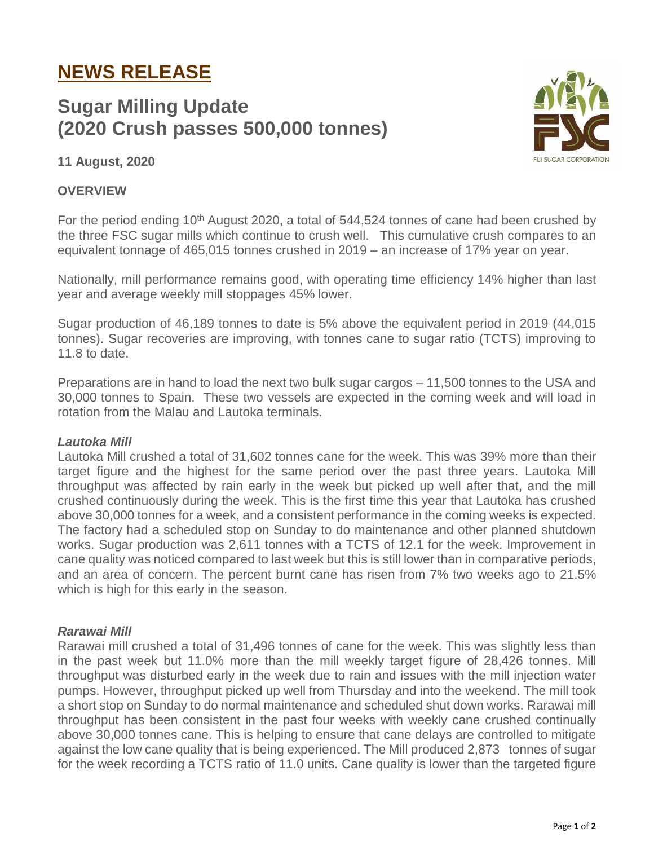# **NEWS RELEASE**

# **Sugar Milling Update (2020 Crush passes 500,000 tonnes)**



# **11 August, 2020**

## **OVERVIEW**

For the period ending  $10<sup>th</sup>$  August 2020, a total of 544,524 tonnes of cane had been crushed by the three FSC sugar mills which continue to crush well. This cumulative crush compares to an equivalent tonnage of 465,015 tonnes crushed in 2019 – an increase of 17% year on year.

Nationally, mill performance remains good, with operating time efficiency 14% higher than last year and average weekly mill stoppages 45% lower.

Sugar production of 46,189 tonnes to date is 5% above the equivalent period in 2019 (44,015 tonnes). Sugar recoveries are improving, with tonnes cane to sugar ratio (TCTS) improving to 11.8 to date.

Preparations are in hand to load the next two bulk sugar cargos – 11,500 tonnes to the USA and 30,000 tonnes to Spain. These two vessels are expected in the coming week and will load in rotation from the Malau and Lautoka terminals.

### *Lautoka Mill*

Lautoka Mill crushed a total of 31,602 tonnes cane for the week. This was 39% more than their target figure and the highest for the same period over the past three years. Lautoka Mill throughput was affected by rain early in the week but picked up well after that, and the mill crushed continuously during the week. This is the first time this year that Lautoka has crushed above 30,000 tonnes for a week, and a consistent performance in the coming weeks is expected. The factory had a scheduled stop on Sunday to do maintenance and other planned shutdown works. Sugar production was 2,611 tonnes with a TCTS of 12.1 for the week. Improvement in cane quality was noticed compared to last week but this is still lower than in comparative periods, and an area of concern. The percent burnt cane has risen from 7% two weeks ago to 21.5% which is high for this early in the season.

### *Rarawai Mill*

Rarawai mill crushed a total of 31,496 tonnes of cane for the week. This was slightly less than in the past week but 11.0% more than the mill weekly target figure of 28,426 tonnes. Mill throughput was disturbed early in the week due to rain and issues with the mill injection water pumps. However, throughput picked up well from Thursday and into the weekend. The mill took a short stop on Sunday to do normal maintenance and scheduled shut down works. Rarawai mill throughput has been consistent in the past four weeks with weekly cane crushed continually above 30,000 tonnes cane. This is helping to ensure that cane delays are controlled to mitigate against the low cane quality that is being experienced. The Mill produced 2,873 tonnes of sugar for the week recording a TCTS ratio of 11.0 units. Cane quality is lower than the targeted figure